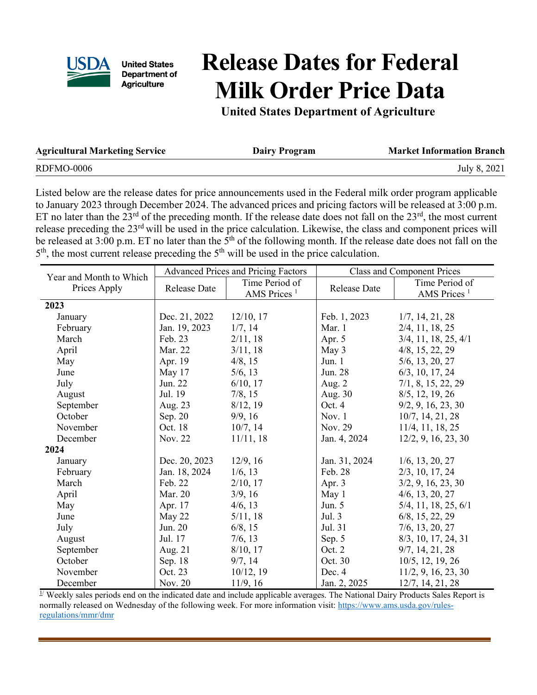

**United States** Department of **Agriculture** 

## **Release Dates for Federal Milk Order Price Data**

**United States Department of Agriculture**

| <b>Agricultural Marketing Service</b> | <b>Dairy Program</b> | <b>Market Information Branch</b> |
|---------------------------------------|----------------------|----------------------------------|
| RDFMO-0006                            |                      | July 8, 2021                     |

Listed below are the release dates for price announcements used in the Federal milk order program applicable to January 2023 through December 2024. The advanced prices and pricing factors will be released at 3:00 p.m. ET no later than the  $23^{\text{rd}}$  of the preceding month. If the release date does not fall on the  $23^{\text{rd}}$ , the most current release preceding the 23rd will be used in the price calculation. Likewise, the class and component prices will be released at  $3:00$  p.m. ET no later than the  $5<sup>th</sup>$  of the following month. If the release date does not fall on the  $5<sup>th</sup>$ , the most current release preceding the  $5<sup>th</sup>$  will be used in the price calculation.

|                                         | <b>Advanced Prices and Pricing Factors</b> |                                      | <b>Class and Component Prices</b> |                                      |
|-----------------------------------------|--------------------------------------------|--------------------------------------|-----------------------------------|--------------------------------------|
| Year and Month to Which<br>Prices Apply |                                            | Time Period of                       | Time Period of                    |                                      |
|                                         | <b>Release Date</b>                        | AMS Prices <sup><math>1</math></sup> | <b>Release Date</b>               | AMS Prices <sup><math>1</math></sup> |
| 2023                                    |                                            |                                      |                                   |                                      |
| January                                 | Dec. 21, 2022                              | $12/10$ , 17                         | Feb. 1, 2023                      | 1/7, 14, 21, 28                      |
| February                                | Jan. 19, 2023                              | 1/7, 14                              | Mar. 1                            | $2/4$ , 11, 18, 25                   |
| March                                   | Feb. 23                                    | 2/11, 18                             | Apr. 5                            | $3/4$ , 11, 18, 25, 4/1              |
| April                                   | Mar. 22                                    | 3/11, 18                             | May 3                             | $4/8$ , 15, 22, 29                   |
| May                                     | Apr. 19                                    | 4/8, 15                              | Jun. $1$                          | $5/6$ , 13, 20, 27                   |
| June                                    | May 17                                     | 5/6, 13                              | Jun. 28                           | $6/3$ , 10, 17, 24                   |
| July                                    | Jun. 22                                    | $6/10$ , 17                          | Aug. $2$                          | 7/1, 8, 15, 22, 29                   |
| August                                  | Jul. 19                                    | 7/8, 15                              | Aug. 30                           | $8/5$ , 12, 19, 26                   |
| September                               | Aug. 23                                    | 8/12, 19                             | Oct. 4                            | 9/2, 9, 16, 23, 30                   |
| October                                 | Sep. 20                                    | 9/9, 16                              | Nov. $1$                          | 10/7, 14, 21, 28                     |
| November                                | Oct. 18                                    | 10/7, 14                             | Nov. 29                           | $11/4$ , 11, 18, 25                  |
| December                                | Nov. 22                                    | 11/11, 18                            | Jan. 4, 2024                      | 12/2, 9, 16, 23, 30                  |
| 2024                                    |                                            |                                      |                                   |                                      |
| January                                 | Dec. 20, 2023                              | 12/9, 16                             | Jan. 31, 2024                     | $1/6$ , 13, 20, 27                   |
| February                                | Jan. 18, 2024                              | $1/6$ , 13                           | Feb. 28                           | $2/3$ , 10, 17, 24                   |
| March                                   | Feb. 22                                    | 2/10, 17                             | Apr. 3                            | 3/2, 9, 16, 23, 30                   |
| April                                   | Mar. 20                                    | 3/9, 16                              | May 1                             | $4/6$ , 13, 20, 27                   |
| May                                     | Apr. 17                                    | 4/6, 13                              | Jun. $5$                          | $5/4$ , 11, 18, 25, 6/1              |
| June                                    | May 22                                     | 5/11, 18                             | Jul. 3                            | $6/8$ , 15, 22, 29                   |
| July                                    | Jun. 20                                    | 6/8, 15                              | Jul. 31                           | $7/6$ , 13, 20, 27                   |
| August                                  | Jul. 17                                    | 7/6, 13                              | Sep. 5                            | $8/3$ , 10, 17, 24, 31               |
| September                               | Aug. 21                                    | 8/10, 17                             | Oct. 2                            | 9/7, 14, 21, 28                      |
| October                                 | Sep. 18                                    | 9/7, 14                              | Oct. 30                           | $10/5$ , 12, 19, 26                  |
| November                                | Oct. 23                                    | 10/12, 19                            | Dec. 4                            | 11/2, 9, 16, 23, 30                  |
| December                                | Nov. 20                                    | 11/9, 16                             | Jan. 2, 2025                      | 12/7, 14, 21, 28                     |

 $\frac{1}{2}$  Weekly sales periods end on the indicated date and include applicable averages. The National Dairy Products Sales Report is normally released on Wednesday of the following week. For more information visit: [https://www.ams.usda.gov/rules](https://www.ams.usda.gov/rules-regulations/mmr/dmr)[regulations/mmr/dmr](https://www.ams.usda.gov/rules-regulations/mmr/dmr)